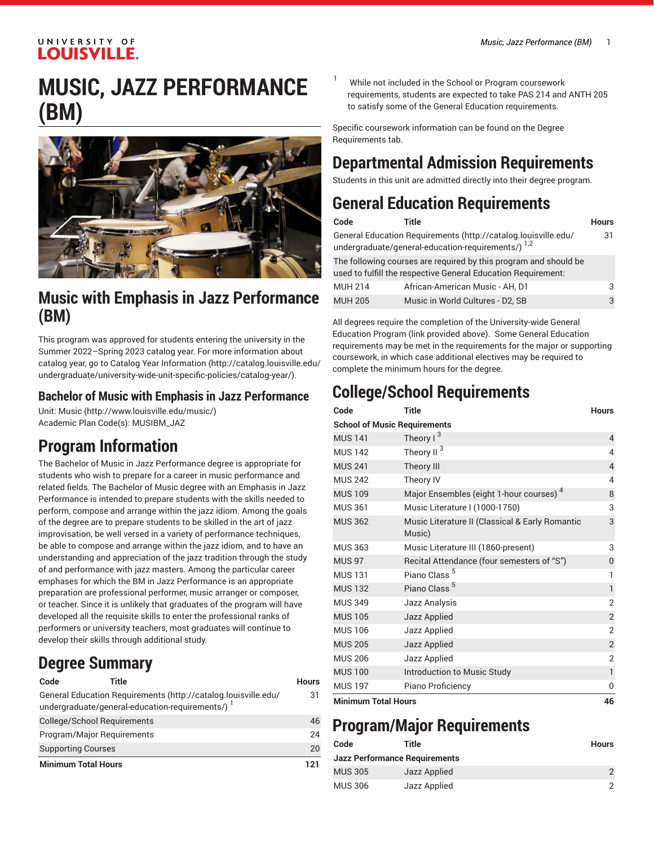# **MUSIC, JAZZ PERFORMANCE (BM)**



## **Music with Emphasis in Jazz Performance (BM)**

This program was approved for students entering the university in the Summer 2022–Spring 2023 catalog year. For more information about catalog year, go to Catalog Year [Information](http://catalog.louisville.edu/undergraduate/university-wide-unit-specific-policies/catalog-year/) ([http://catalog.louisville.edu/](http://catalog.louisville.edu/undergraduate/university-wide-unit-specific-policies/catalog-year/) [undergraduate/university-wide-unit-specific-policies/catalog-year/](http://catalog.louisville.edu/undergraduate/university-wide-unit-specific-policies/catalog-year/)).

### **Bachelor of Music with Emphasis in Jazz Performance**

Unit: [Music \(http://www.louisville.edu/music/](http://www.louisville.edu/music/)) Academic Plan Code(s): MUSIBM\_JAZ

## **Program Information**

The Bachelor of Music in Jazz Performance degree is appropriate for students who wish to prepare for a career in music performance and related fields. The Bachelor of Music degree with an Emphasis in Jazz Performance is intended to prepare students with the skills needed to perform, compose and arrange within the jazz idiom. Among the goals of the degree are to prepare students to be skilled in the art of jazz improvisation, be well versed in a variety of performance techniques, be able to compose and arrange within the jazz idiom, and to have an understanding and appreciation of the jazz tradition through the study of and performance with jazz masters. Among the particular career emphases for which the BM in Jazz Performance is an appropriate preparation are professional performer, music arranger or composer, or teacher. Since it is unlikely that graduates of the program will have developed all the requisite skills to enter the professional ranks of performers or university teachers, most graduates will continue to develop their skills through additional study.

## **Degree Summary**

| Code                       | Title                                            |                                                                | Hours |
|----------------------------|--------------------------------------------------|----------------------------------------------------------------|-------|
|                            | undergraduate/general-education-requirements/) 1 | General Education Requirements (http://catalog.louisville.edu/ | 31    |
|                            | College/School Requirements                      |                                                                | 46    |
|                            | Program/Major Reguirements                       |                                                                | 24    |
| <b>Supporting Courses</b>  |                                                  |                                                                | 20    |
| <b>Minimum Total Hours</b> |                                                  |                                                                | 121   |

While not included in the School or Program coursework requirements, students are expected to take PAS 214 and ANTH 205 to satisfy some of the General Education requirements.

Specific coursework information can be found on the Degree Requirements tab.

## **Departmental Admission Requirements**

Students in this unit are admitted directly into their degree program.

## **General Education Requirements**

| Code           | Title                                                                                                                             | <b>Hours</b> |
|----------------|-----------------------------------------------------------------------------------------------------------------------------------|--------------|
|                | General Education Requirements (http://catalog.louisville.edu/<br>undergraduate/general-education-requirements/) 1,2              | 31           |
|                | The following courses are required by this program and should be<br>used to fulfill the respective General Education Requirement: |              |
| <b>MUH 214</b> | African-American Music - AH, D1                                                                                                   | 3            |
| <b>MUH 205</b> | Music in World Cultures - D2, SB                                                                                                  |              |

All degrees require the completion of the University-wide General Education Program (link provided above). Some General Education requirements may be met in the requirements for the major or supporting coursework, in which case additional electives may be required to complete the minimum hours for the degree.

## **College/School Requirements**

| Code                                | <b>Title</b>                                              | <b>Hours</b>   |  |  |
|-------------------------------------|-----------------------------------------------------------|----------------|--|--|
| <b>School of Music Requirements</b> |                                                           |                |  |  |
| <b>MUS 141</b>                      | Theory $1^3$                                              | $\overline{4}$ |  |  |
| <b>MUS 142</b>                      | Theory II <sup>3</sup>                                    | 4              |  |  |
| <b>MUS 241</b>                      | Theory III                                                | $\overline{4}$ |  |  |
| <b>MUS 242</b>                      | Theory IV                                                 | 4              |  |  |
| <b>MUS 109</b>                      | Major Ensembles (eight 1-hour courses) <sup>4</sup>       | 8              |  |  |
| <b>MUS 361</b>                      | Music Literature I (1000-1750)                            | 3              |  |  |
| <b>MUS 362</b>                      | Music Literature II (Classical & Early Romantic<br>Music) | 3              |  |  |
| <b>MUS 363</b>                      | Music Literature III (1860-present)                       | 3              |  |  |
| <b>MUS 97</b>                       | Recital Attendance (four semesters of "S")                | 0              |  |  |
| <b>MUS 131</b>                      | Piano Class <sup>5</sup>                                  | 1              |  |  |
| <b>MUS 132</b>                      | Piano Class <sup>5</sup>                                  | $\mathbf{1}$   |  |  |
| <b>MUS 349</b>                      | Jazz Analysis                                             | $\overline{2}$ |  |  |
| <b>MUS 105</b>                      | Jazz Applied                                              | $\overline{2}$ |  |  |
| <b>MUS 106</b>                      | Jazz Applied                                              | $\overline{2}$ |  |  |
| <b>MUS 205</b>                      | Jazz Applied                                              | $\overline{2}$ |  |  |
| <b>MUS 206</b>                      | Jazz Applied                                              | $\overline{2}$ |  |  |
| <b>MUS 100</b>                      | Introduction to Music Study                               | $\mathbf{1}$   |  |  |
| <b>MUS 197</b>                      | Piano Proficiency                                         | 0              |  |  |
| <b>Minimum Total Hours</b>          |                                                           | 46             |  |  |

## **Program/Major Requirements**

| Code           | Title                                | <b>Hours</b> |
|----------------|--------------------------------------|--------------|
|                | <b>Jazz Performance Requirements</b> |              |
| <b>MUS 305</b> | Jazz Applied                         |              |
| <b>MUS 306</b> | Jazz Applied                         |              |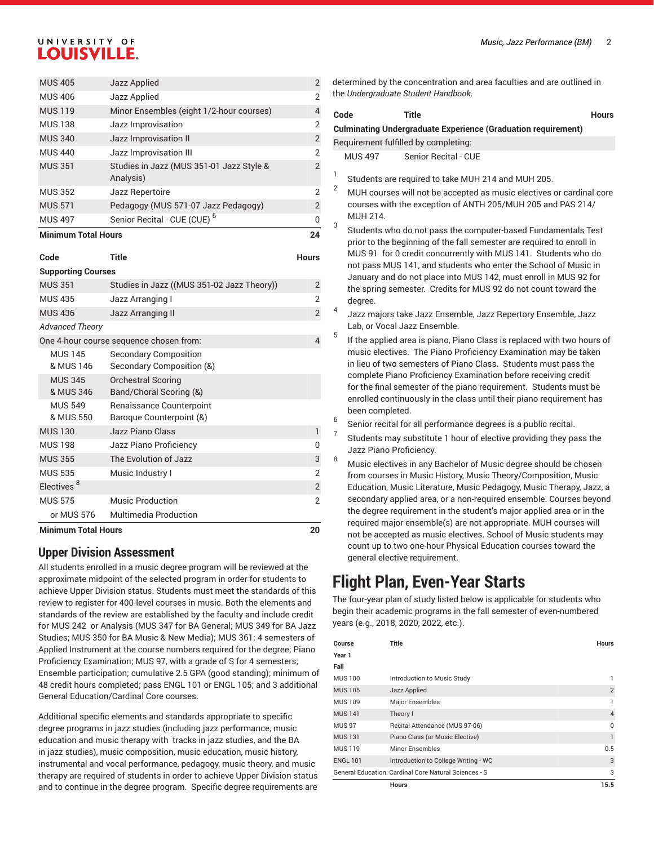| <b>Minimum Total Hours</b> |                                                       | 24             |
|----------------------------|-------------------------------------------------------|----------------|
| <b>MUS 497</b>             | Senior Recital - CUE (CUE) <sup>6</sup>               | 0              |
| <b>MUS 571</b>             | Pedagogy (MUS 571-07 Jazz Pedagogy)                   | 2              |
| <b>MUS 352</b>             | Jazz Repertoire                                       | 2              |
| <b>MUS 351</b>             | Studies in Jazz (MUS 351-01 Jazz Style &<br>Analysis) | $\overline{2}$ |
| <b>MUS 440</b>             | Jazz Improvisation III                                | 2              |
| <b>MUS 340</b>             | Jazz Improvisation II                                 | 2              |
| <b>MUS 138</b>             | Jazz Improvisation                                    | 2              |
| <b>MUS 119</b>             | Minor Ensembles (eight 1/2-hour courses)              | 4              |
| <b>MUS 406</b>             | Jazz Applied                                          | 2              |
| <b>MUS 405</b>             | Jazz Applied                                          | 2              |

#### **Code Title Hours**

```
Supporting Courses
```

| <b>Minimum Total Hours</b>  |                                                           | 20             |
|-----------------------------|-----------------------------------------------------------|----------------|
| or MUS 576                  | <b>Multimedia Production</b>                              |                |
| <b>MUS 575</b>              | <b>Music Production</b>                                   | $\mathfrak{p}$ |
| Electives <sup>8</sup>      |                                                           | $\overline{2}$ |
| <b>MUS 535</b>              | Music Industry I                                          | $\overline{2}$ |
| <b>MUS 355</b>              | The Evolution of Jazz                                     | 3              |
| <b>MUS 198</b>              | Jazz Piano Proficiency                                    | O              |
| <b>MUS 130</b>              | Jazz Piano Class                                          | 1              |
| <b>MUS 549</b><br>& MUS 550 | Renaissance Counterpoint<br>Baroque Counterpoint (&)      |                |
| <b>MUS 345</b><br>& MUS 346 | <b>Orchestral Scoring</b><br>Band/Choral Scoring (&)      |                |
| <b>MUS 145</b><br>& MUS 146 | <b>Secondary Composition</b><br>Secondary Composition (&) |                |
|                             | One 4-hour course sequence chosen from:                   | 4              |
| <b>Advanced Theory</b>      |                                                           |                |
| <b>MUS 436</b>              | Jazz Arranging II                                         | $\overline{2}$ |
| <b>MUS 435</b>              | Jazz Arranging I                                          | 2              |
| <b>MUS 351</b>              | Studies in Jazz ((MUS 351-02 Jazz Theory))                | $\overline{2}$ |
| oupporting operator         |                                                           |                |

### **Upper Division Assessment**

All students enrolled in a music degree program will be reviewed at the approximate midpoint of the selected program in order for students to achieve Upper Division status. Students must meet the standards of this review to register for 400-level courses in music. Both the elements and standards of the review are established by the faculty and include credit for MUS 242 or Analysis (MUS 347 for BA General; MUS 349 for BA Jazz Studies; MUS 350 for BA Music & New Media); MUS 361; 4 semesters of Applied Instrument at the course numbers required for the degree; Piano Proficiency Examination; MUS 97, with a grade of S for 4 semesters; Ensemble participation; cumulative 2.5 GPA (good standing); minimum of 48 credit hours completed; pass ENGL 101 or ENGL 105; and 3 additional General Education/Cardinal Core courses.

Additional specific elements and standards appropriate to specific degree programs in jazz studies (including jazz performance, music education and music therapy with tracks in jazz studies, and the BA in jazz studies), music composition, music education, music history, instrumental and vocal performance, pedagogy, music theory, and music therapy are required of students in order to achieve Upper Division status and to continue in the degree program. Specific degree requirements are

determined by the concentration and area faculties and are outlined in the *Undergraduate Student Handbook*.

|                | <b>Title</b><br>Code<br><b>Hours</b>                                                                                                                                                                                                                                                                                                                                                                                          |
|----------------|-------------------------------------------------------------------------------------------------------------------------------------------------------------------------------------------------------------------------------------------------------------------------------------------------------------------------------------------------------------------------------------------------------------------------------|
|                | <b>Culminating Undergraduate Experience (Graduation requirement)</b>                                                                                                                                                                                                                                                                                                                                                          |
|                | Requirement fulfilled by completing:                                                                                                                                                                                                                                                                                                                                                                                          |
|                | Senior Recital - CUE<br><b>MUS 497</b>                                                                                                                                                                                                                                                                                                                                                                                        |
| 1              | Students are required to take MUH 214 and MUH 205.                                                                                                                                                                                                                                                                                                                                                                            |
| $\overline{2}$ | MUH courses will not be accepted as music electives or cardinal core<br>courses with the exception of ANTH 205/MUH 205 and PAS 214/<br>MUH 214.                                                                                                                                                                                                                                                                               |
| 3              | Students who do not pass the computer-based Fundamentals Test<br>prior to the beginning of the fall semester are reguired to enroll in<br>MUS 91 for 0 credit concurrently with MUS 141. Students who do<br>not pass MUS 141, and students who enter the School of Music in<br>January and do not place into MUS 142, must enroll in MUS 92 for<br>the spring semester. Credits for MUS 92 do not count toward the<br>degree. |
| 4              | Jazz majors take Jazz Ensemble, Jazz Repertory Ensemble, Jazz<br>Lab, or Vocal Jazz Ensemble.                                                                                                                                                                                                                                                                                                                                 |
| 5              | If the applied area is piano, Piano Class is replaced with two hours of                                                                                                                                                                                                                                                                                                                                                       |

music electives. The Piano Proficiency Examination may be taken in lieu of two semesters of Piano Class. Students must pass the complete Piano Proficiency Examination before receiving credit for the final semester of the piano requirement. Students must be enrolled continuously in the class until their piano requirement has been completed.

6 Senior recital for all performance degrees is a public recital.

7

- Students may substitute 1 hour of elective providing they pass the Jazz Piano Proficiency.
- 8 Music electives in any Bachelor of Music degree should be chosen from courses in Music History, Music Theory/Composition, Music Education, Music Literature, Music Pedagogy, Music Therapy, Jazz, a secondary applied area, or a non-required ensemble. Courses beyond the degree requirement in the student's major applied area or in the required major ensemble(s) are not appropriate. MUH courses will not be accepted as music electives. School of Music students may count up to two one-hour Physical Education courses toward the general elective requirement.

## **Flight Plan, Even-Year Starts**

The four-year plan of study listed below is applicable for students who begin their academic programs in the fall semester of even-numbered years (e.g., 2018, 2020, 2022, etc.).

| Course          | Title                                                 | <b>Hours</b>   |
|-----------------|-------------------------------------------------------|----------------|
| Year 1          |                                                       |                |
| Fall            |                                                       |                |
| <b>MUS 100</b>  | Introduction to Music Study                           | 1              |
| <b>MUS 105</b>  | Jazz Applied                                          | $\overline{2}$ |
| <b>MUS 109</b>  | Major Ensembles                                       | 1              |
| <b>MUS 141</b>  | Theory I                                              | $\overline{4}$ |
| <b>MUS 97</b>   | Recital Attendance (MUS 97-06)                        | $\Omega$       |
| <b>MUS131</b>   | Piano Class (or Music Elective)                       | $\mathbf{1}$   |
| <b>MUS 119</b>  | <b>Minor Ensembles</b>                                | 0.5            |
| <b>ENGL 101</b> | Introduction to College Writing - WC                  | 3              |
|                 | General Education: Cardinal Core Natural Sciences - S | 3              |
|                 | <b>Hours</b>                                          | 15.5           |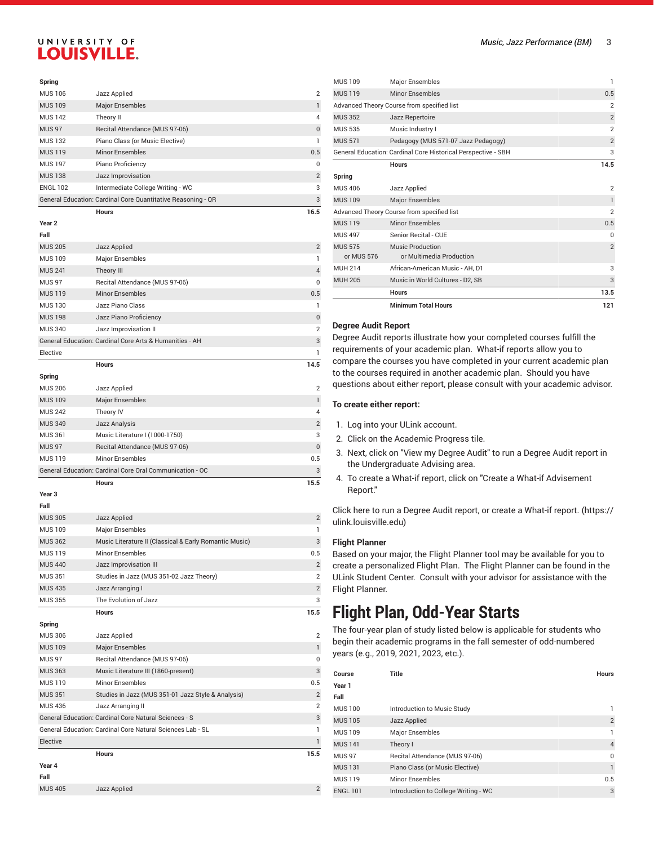#### **Spring**

| <b>MUS 106</b>  | Jazz Applied                                                 | $\overline{2}$ |
|-----------------|--------------------------------------------------------------|----------------|
| <b>MUS 109</b>  | <b>Major Ensembles</b>                                       |                |
| <b>MUS 142</b>  | Theory II                                                    | 4              |
| <b>MUS 97</b>   | Recital Attendance (MUS 97-06)                               | $\Omega$       |
| <b>MUS 132</b>  | Piano Class (or Music Elective)                              |                |
| <b>MUS 119</b>  | <b>Minor Ensembles</b>                                       | 0.5            |
| <b>MUS 197</b>  | Piano Proficiency                                            | $\Omega$       |
| <b>MUS 138</b>  | Jazz Improvisation                                           | $\overline{2}$ |
| <b>ENGL 102</b> | Intermediate College Writing - WC                            | 3              |
|                 | General Education: Cardinal Core Quantitative Reasoning - QR | 3              |

**Hours 16.5**

### **Year 2**

| Jazz Applied                                            | $\overline{2}$ |
|---------------------------------------------------------|----------------|
| Major Ensembles                                         | 1              |
| Theory III                                              | $\overline{4}$ |
| Recital Attendance (MUS 97-06)                          | $\Omega$       |
| Minor Ensembles                                         | 0.5            |
| Jazz Piano Class                                        | 1              |
| Jazz Piano Proficiency                                  | $\overline{0}$ |
| Jazz Improvisation II                                   | $\overline{2}$ |
| General Education: Cardinal Core Arts & Humanities - AH | 3              |
|                                                         | 1              |
| <b>Hours</b>                                            | 14.5           |
|                                                         |                |
| Jazz Applied                                            | $\overline{2}$ |
| <b>Major Ensembles</b>                                  | 1              |
| Theory IV                                               | $\overline{4}$ |
|                                                         |                |

|                | <b>Hours</b>                                             | 15.5           |
|----------------|----------------------------------------------------------|----------------|
|                | General Education: Cardinal Core Oral Communication - OC | 3              |
| <b>MUS 119</b> | <b>Minor Ensembles</b>                                   | 0.5            |
| <b>MUS 97</b>  | Recital Attendance (MUS 97-06)                           | $\Omega$       |
| <b>MUS 361</b> | Music Literature I (1000-1750)                           | 3              |
| <b>MUS 349</b> | Jazz Analysis                                            | $\overline{2}$ |

### **Year 3**

| Fall           |                                                        |                |
|----------------|--------------------------------------------------------|----------------|
| <b>MUS 305</b> | Jazz Applied                                           | $\overline{2}$ |
| <b>MUS 109</b> | Major Ensembles                                        |                |
| <b>MUS 362</b> | Music Literature II (Classical & Early Romantic Music) | 3              |
| <b>MUS 119</b> | Minor Ensembles                                        | 0.5            |
| <b>MUS 440</b> | Jazz Improvisation III                                 | $\overline{2}$ |
| <b>MUS 351</b> | Studies in Jazz (MUS 351-02 Jazz Theory)               | $\overline{2}$ |
| <b>MUS 435</b> | Jazz Arranging I                                       | $\overline{2}$ |
| <b>MUS 355</b> | The Evolution of Jazz                                  | 3              |
|                | <b>Hours</b>                                           | 15.5           |
| Spring         |                                                        |                |
| <b>MUS 306</b> | Jazz Applied                                           | $\overline{2}$ |
| <b>MUS 109</b> | <b>Major Ensembles</b>                                 |                |
| <b>MUS 97</b>  | Recital Attendance (MUS 97-06)                         | $\Omega$       |

| MUS 97         | Recital Attendance (MUS 97-06)                             |                |
|----------------|------------------------------------------------------------|----------------|
| <b>MUS 363</b> | Music Literature III (1860-present)                        | 3              |
| <b>MUS 119</b> | Minor Ensembles                                            | 0.5            |
| <b>MUS 351</b> | Studies in Jazz (MUS 351-01 Jazz Style & Analysis)         | $\overline{2}$ |
| <b>MUS 436</b> | Jazz Arranging II                                          | $\overline{2}$ |
|                | General Education: Cardinal Core Natural Sciences - S      | 3              |
|                | General Education: Cardinal Core Natural Sciences Lab - SL |                |
| Elective       |                                                            |                |
|                | <b>Hours</b>                                               | 15.5           |
| Year 4         |                                                            |                |
| Fall           |                                                            |                |

MUS 405 Jazz Applied 2

|                                            | <b>Minimum Total Hours</b>                                    | 121            |
|--------------------------------------------|---------------------------------------------------------------|----------------|
|                                            | <b>Hours</b>                                                  | 13.5           |
| <b>MUH 205</b>                             | Music in World Cultures - D2, SB                              | 3              |
| <b>MUH 214</b>                             | African-American Music - AH, D1                               | 3              |
| <b>MUS 575</b><br>or MUS 576               | Music Production<br>or Multimedia Production                  | $\overline{2}$ |
| <b>MUS 497</b>                             | Senior Recital - CUE                                          | $\Omega$       |
| <b>MUS 119</b>                             | <b>Minor Ensembles</b>                                        | 0.5            |
|                                            | Advanced Theory Course from specified list                    | $\overline{2}$ |
| <b>MUS 109</b>                             | <b>Major Ensembles</b>                                        | $\mathbf{1}$   |
| <b>MUS 406</b>                             | Jazz Applied                                                  | $\overline{2}$ |
| Spring                                     |                                                               |                |
|                                            | <b>Hours</b>                                                  | 14.5           |
|                                            | General Education: Cardinal Core Historical Perspective - SBH | 3              |
| <b>MUS 571</b>                             | Pedagogy (MUS 571-07 Jazz Pedagogy)                           | $\overline{2}$ |
| <b>MUS 535</b>                             | Music Industry I                                              | $\overline{2}$ |
| <b>MUS 352</b>                             | Jazz Repertoire                                               | $\overline{2}$ |
| Advanced Theory Course from specified list |                                                               | $\overline{2}$ |
| <b>MUS 119</b>                             | <b>Minor Ensembles</b>                                        | 0.5            |
| <b>MUS 109</b>                             | Major Ensembles                                               | 1              |

#### **Degree Audit Report**

Degree Audit reports illustrate how your completed courses fulfill the requirements of your academic plan. What-if reports allow you to compare the courses you have completed in your current academic plan to the courses required in another academic plan. Should you have questions about either report, please consult with your academic advisor.

#### **To create either report:**

- 1. Log into your ULink account.
- 2. Click on the Academic Progress tile.
- 3. Next, click on "View my Degree Audit" to run a Degree Audit report in the Undergraduate Advising area.
- 4. To create a What-if report, click on "Create a What-if Advisement Report."

Click here to run a Degree Audit report, or create a [What-if](https://ulink.louisville.edu) report. [\(https://](https://ulink.louisville.edu) [ulink.louisville.edu\)](https://ulink.louisville.edu)

#### **Flight Planner**

Based on your major, the Flight Planner tool may be available for you to create a personalized Flight Plan. The Flight Planner can be found in the ULink Student Center. Consult with your advisor for assistance with the Flight Planner.

## **Flight Plan, Odd-Year Starts**

The four-year plan of study listed below is applicable for students who begin their academic programs in the fall semester of odd-numbered years (e.g., 2019, 2021, 2023, etc.).

| Course          | Title                                | <b>Hours</b>   |
|-----------------|--------------------------------------|----------------|
| Year 1          |                                      |                |
| Fall            |                                      |                |
| <b>MUS 100</b>  | Introduction to Music Study          |                |
| <b>MUS 105</b>  | Jazz Applied                         | $\overline{2}$ |
| <b>MUS 109</b>  | <b>Major Ensembles</b>               |                |
| <b>MUS 141</b>  | Theory I                             | $\overline{4}$ |
| <b>MUS 97</b>   | Recital Attendance (MUS 97-06)       | $\Omega$       |
| <b>MUS 131</b>  | Piano Class (or Music Elective)      |                |
| <b>MUS119</b>   | Minor Ensembles                      | 0.5            |
| <b>ENGL 101</b> | Introduction to College Writing - WC | 3              |